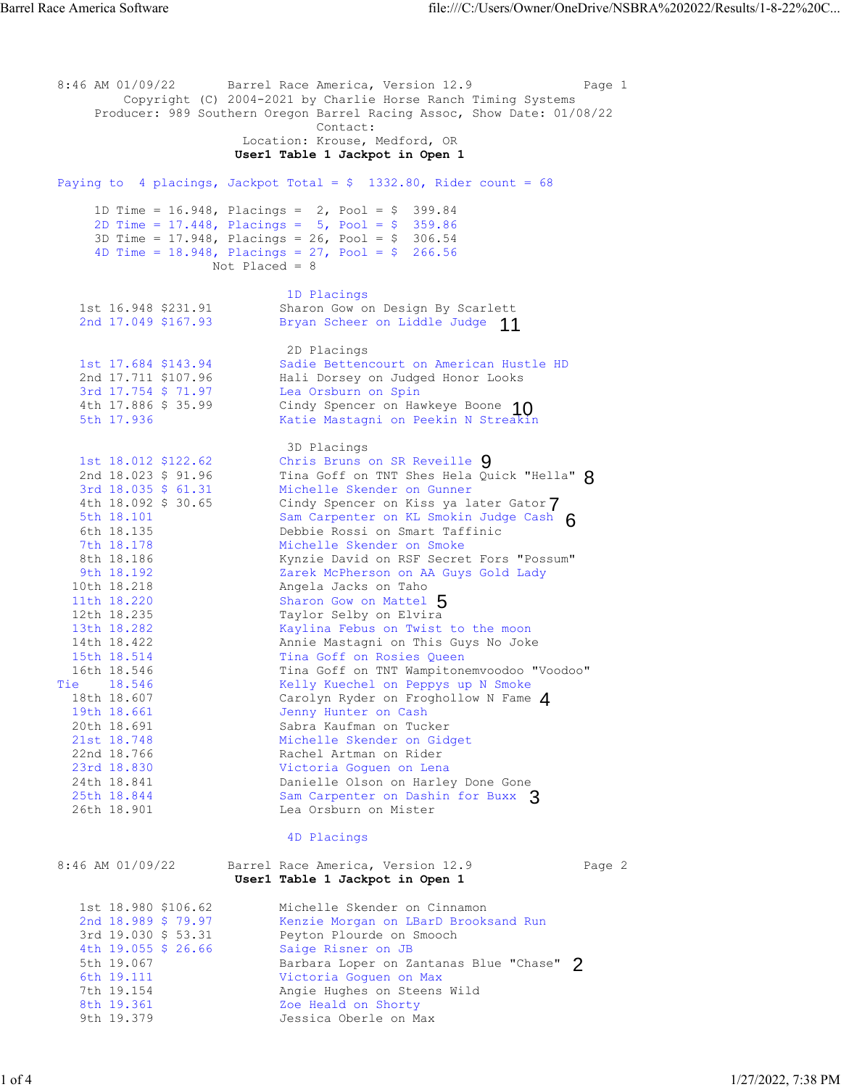8:46 AM 01/09/22 Barrel Race America, Version 12.9 Page 1 Copyright (C) 2004-2021 by Charlie Horse Ranch Timing Systems Producer: 989 Southern Oregon Barrel Racing Assoc, Show Date: 01/08/22 Contact: Location: Krouse, Medford, OR  **User1 Table 1 Jackpot in Open 1**  Paying to 4 placings, Jackpot Total =  $$ 1332.80$ , Rider count = 68 1D Time = 16.948, Placings = 2, Pool = \$ 399.84 2D Time = 17.448, Placings = 5, Pool = \$ 359.86 3D Time = 17.948, Placings = 26, Pool = \$ 306.54 4D Time =  $18.948$ , Placings =  $27$ , Pool = \$ 266.56 Not Placed =  $8$ 1D Placings<br>1st 16.948 \$231.91 Sharon Gow o Sharon Gow on Design By Scarlett 2nd 17.049 \$167.93 Bryan Scheer on Liddle Judge 11 2D Placings<br>1st 17.684 \$143.94 Sadie Betten 1st 17.684 \$143.94 Sadie Bettencourt on American Hustle HD<br>2nd 17.711 \$107.96 Hali Dorsey on Judged Honor Looks 2nd 17.711 \$107.96 Hali Dorsey on Judged Honor Looks<br>3rd 17.754 \$ 71.97 Lea Orsburn on Spin 3rd 17.754 \$ 71.97 Lea Orsburn on Spin<br>4th 17.886 \$ 35.99 Cindy Spencer on Hav 4th 17.886 \$ 35.99 Cindy Spencer on Hawkeye Boone 5th 17.936 Katie Mastagni on Peekin N Streakin 3D Placings 1st 18.012 \$122.62 Chris Bruns on SR Reveille 2nd 18.023 \$ 91.96 Tina Goff on TNT Shes Hela Quick "Hella" 3rd 18.035 \$ 61.31 Michelle Skender on Gunner 4th 18.092 \$ 30.65 Cindy Spencer on Kiss ya later Gator 5th 18.101 Sam Carpenter on KL Smokin Judge Cash 6th 18.135 Debbie Rossi on Smart Taffinic 7th 18.178 Michelle Skender on Smoke 8th 18.186 Kynzie David on RSF Secret Fors "Possum" 9th 18.192 Zarek McPherson on AA Guys Gold Lady 10th 18.218 Angela Jacks on Taho 11th 18.220 Sharon Gow on Mattel 12th 18.235 Taylor Selby on Elvira 13th 18.282 Kaylina Febus on Twist to the moon 14th 18.422 Annie Mastagni on This Guys No Joke 15th 18.514 Tina Goff on Rosies Queen 16th 18.546 Tina Goff on TNT Wampitonemvoodoo "Voodoo" Tie 18.546 Kelly Kuechel on Peppys up N Smoke 18th 18.607 Carolyn Ryder on Froghollow N Fame 19th 18.661 Jenny Hunter on Cash 20th 18.691 Sabra Kaufman on Tucker 21st 18.748 Michelle Skender on Gidget 22nd 18.766 Rachel Artman on Rider 23rd 18.830 Victoria Goguen on Lena 24th 18.841 Danielle Olson on Harley Done Gone 25th 18.844 Sam Carpenter on Dashin for Buxx 25th 18.844 Sam Carpenter on Dashin for Buxx 3<br>
26th 18.901 Lea Orsburn on Mister 4D Placings 8:46 AM 01/09/22 Barrel Race America, Version 12.9 Page 2  **User1 Table 1 Jackpot in Open 1**  1st 18.980 \$106.62 Michelle Skender on Cinnamon<br>
2nd 18.989 \$ 79.97 Kenzie Morgan on LBarD Brook 2nd 18.989 \$ 79.97 Kenzie Morgan on LBarD Brooksand Run 3rd 19.030 \$ 53.31 Peyton Plourde on Smooch 4th 19.055 \$ 26.66 Saige Risner on JB 5th 19.067 Barbara Loper on Zantanas Blue "Chase" 6th 19.111 Victoria Goguen on Max 7th 19.154 Angie Hughes on Steens Wild 8th 19.361 Zoe Heald on Shorty 9th 19.379 Jessica Oberle on Max 5th 19.067 Barbara Loper on Zantanas Blue "Chase" 2<br>
6th 19.111 victoria Goguen on Max<br>
7th 19.154 Angie Hughes on Steens Wild<br>
8th 19.361 Zoe Heald on Shorty<br>
9th 19.379 Jessica Oberle on Max<br>
1 4 5 6 7 8 9 Cindy Spencer on Hawkeye Boone 10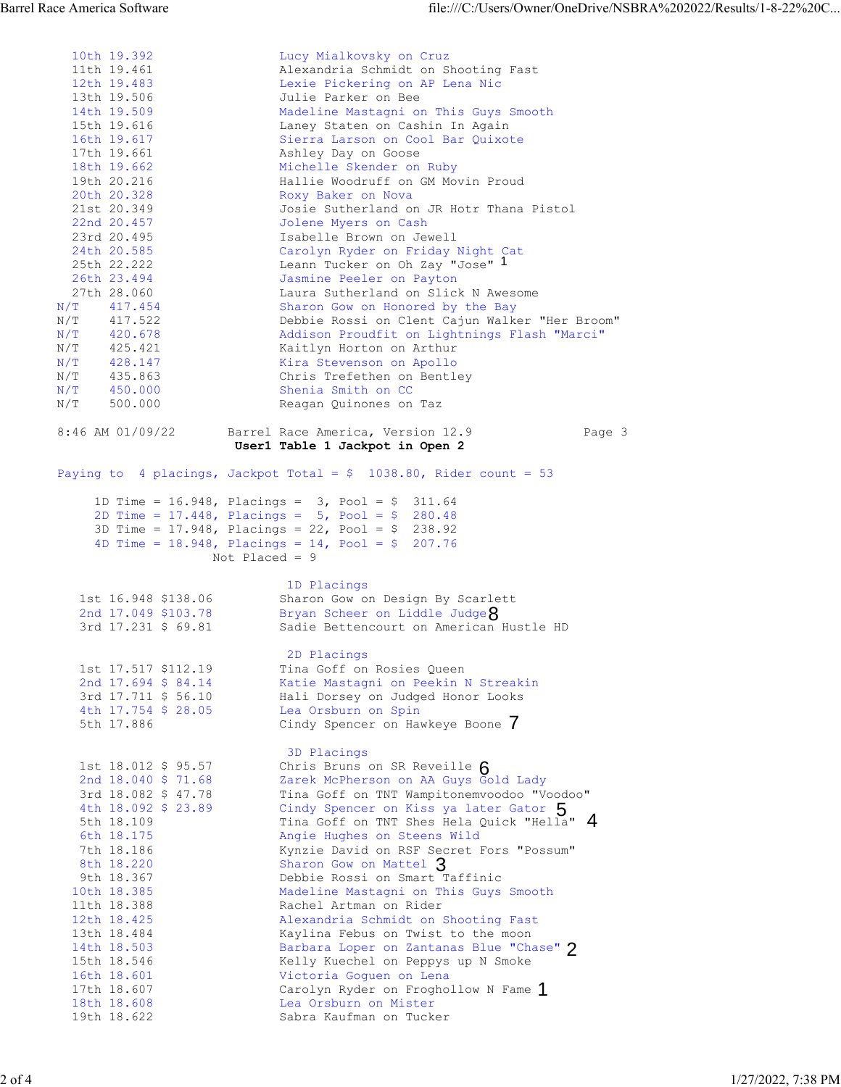|        |               | 10th 19.392             | Lucy Mialkovsky on Cruz                                                        |                    |
|--------|---------------|-------------------------|--------------------------------------------------------------------------------|--------------------|
|        |               | 11th 19.461             | Alexandria Schmidt on Shooting Fast                                            |                    |
|        |               | 12th 19.483             | Lexie Pickering on AP Lena Nic                                                 |                    |
|        |               | 13th 19.506             | Julie Parker on Bee                                                            |                    |
|        |               | 14th 19.509             | Madeline Mastagni on This Guys Smooth                                          |                    |
|        |               | 15th 19.616             | Laney Staten on Cashin In Again                                                |                    |
|        |               | 16th 19.617             | Sierra Larson on Cool Bar Quixote                                              |                    |
|        |               | 17th 19.661             | Ashley Day on Goose                                                            |                    |
|        |               | 18th 19.662             | Michelle Skender on Ruby                                                       |                    |
|        |               | 19th 20.216             |                                                                                |                    |
|        |               |                         | Hallie Woodruff on GM Movin Proud                                              |                    |
|        |               | 20th 20.328             | Roxy Baker on Nova                                                             |                    |
|        |               | 21st 20.349             | Josie Sutherland on JR Hotr Thana Pistol                                       |                    |
|        |               | 22nd 20.457             | Jolene Myers on Cash                                                           |                    |
|        |               | 23rd 20.495             | Isabelle Brown on Jewell                                                       |                    |
|        |               | 24th 20.585             | Carolyn Ryder on Friday Night Cat                                              |                    |
|        |               | 25th 22.222             | Leann Tucker on Oh Zay "Jose" 1                                                |                    |
|        |               | 26th 23.494             | Jasmine Peeler on Payton                                                       |                    |
|        |               | 27th 28.060             | Laura Sutherland on Slick N Awesome                                            |                    |
|        | N/T           | 417.454                 | Sharon Gow on Honored by the Bay                                               |                    |
|        | N/T           | 417.522                 | Debbie Rossi on Clent Cajun Walker "Her Broom"                                 |                    |
|        | N/T           | 420.678                 | Addison Proudfit on Lightnings Flash "Marci"                                   |                    |
|        | N/T           | 425.421                 | Kaitlyn Horton on Arthur                                                       |                    |
|        | N/T           | 428.147                 | Kira Stevenson on Apollo                                                       |                    |
|        | N/T           | 435.863                 | Chris Trefethen on Bentley                                                     |                    |
|        | $N/T$ 450.000 |                         | Shenia Smith on CC                                                             |                    |
|        | N/T           | 500.000                 | Reagan Quinones on Taz                                                         |                    |
|        |               |                         |                                                                                |                    |
|        |               | $8:46$ AM $01/09/22$    | Barrel Race America, Version 12.9<br>Page 3<br>User1 Table 1 Jackpot in Open 2 |                    |
|        |               |                         | Paying to 4 placings, Jackpot Total = $$1038.80$ , Rider count = 53            |                    |
|        |               |                         |                                                                                |                    |
|        |               |                         | 1D Time = 16.948, Placings = $3$ , Pool = $$311.64$                            |                    |
|        |               |                         | 2D Time = $17.448$ , Placings = 5, Pool = \$ 280.48                            |                    |
|        |               |                         | 3D Time = $17.948$ , Placings = $22$ , Pool = \$ 238.92                        |                    |
|        |               |                         | 4D Time = $18.948$ , Placings = $14$ , Pool = \$ 207.76                        |                    |
|        |               |                         | Not Placed = $9$                                                               |                    |
|        |               |                         |                                                                                |                    |
|        |               |                         | 1D Placings                                                                    |                    |
|        |               | 1st 16.948 \$138.06     | Sharon Gow on Design By Scarlett                                               |                    |
|        |               | 2nd 17.049 \$103.78     | Bryan Scheer on Liddle Judge $8$                                               |                    |
|        |               | 3rd 17.231 \$ 69.81     | Sadie Bettencourt on American Hustle HD                                        |                    |
|        |               |                         |                                                                                |                    |
|        |               |                         | 2D Placings                                                                    |                    |
|        |               | 1st 17.517 \$112.19     | Tina Goff on Rosies Queen                                                      |                    |
|        |               | 2nd 17.694 \$ 84.14     | Katie Mastagni on Peekin N Streakin                                            |                    |
|        |               | 3rd 17.711 \$ 56.10     | Hali Dorsey on Judged Honor Looks                                              |                    |
|        |               | 4th 17.754 \$ 28.05     | Lea Orsburn on Spin                                                            |                    |
|        |               | 5th 17.886              | Cindy Spencer on Hawkeye Boone /                                               |                    |
|        |               |                         |                                                                                |                    |
|        |               |                         | 3D Placings                                                                    |                    |
|        |               | 1st 18.012 \$ 95.57     | Chris Bruns on SR Reveille $6$                                                 |                    |
|        |               | 2nd $18.040 \div 71.68$ | Zarek McPherson on AA Guys Gold Lady                                           |                    |
|        |               | 3rd 18.082 \$ 47.78     | Tina Goff on TNT Wampitonemvoodoo "Voodoo"                                     |                    |
|        |               | 4th 18.092 \$ 23.89     | Cindy Spencer on Kiss ya later Gator 5                                         |                    |
|        |               |                         |                                                                                |                    |
|        |               | 5th 18.109              | Tina Goff on TNT Shes Hela Quick "Hella" 4                                     |                    |
|        |               | 6th 18.175              | Angie Hughes on Steens Wild                                                    |                    |
|        |               | 7th 18.186              | Kynzie David on RSF Secret Fors "Possum"                                       |                    |
|        |               | 8th 18.220              | Sharon Gow on Mattel 3                                                         |                    |
|        |               | 9th 18.367              | Debbie Rossi on Smart Taffinic                                                 |                    |
|        |               | 10th 18.385             | Madeline Mastagni on This Guys Smooth                                          |                    |
|        |               | 11th 18.388             | Rachel Artman on Rider                                                         |                    |
|        |               | 12th 18.425             | Alexandria Schmidt on Shooting Fast                                            |                    |
|        |               | 13th 18.484             | Kaylina Febus on Twist to the moon                                             |                    |
|        |               | 14th 18.503             | Barbara Loper on Zantanas Blue "Chase" ?                                       |                    |
|        |               | 15th 18.546             | Kelly Kuechel on Peppys up N Smoke                                             |                    |
|        |               | 16th 18.601             | Victoria Goguen on Lena                                                        |                    |
|        |               | 17th 18.607             | Carolyn Ryder on Froghollow N Fame 1                                           |                    |
|        |               | 18th 18.608             | Lea Orsburn on Mister                                                          |                    |
|        |               | 19th 18.622             | Sabra Kaufman on Tucker                                                        |                    |
|        |               |                         |                                                                                |                    |
|        |               |                         |                                                                                |                    |
|        |               |                         |                                                                                |                    |
| 2 of 4 |               |                         |                                                                                | 1/27/2022, 7:38 PM |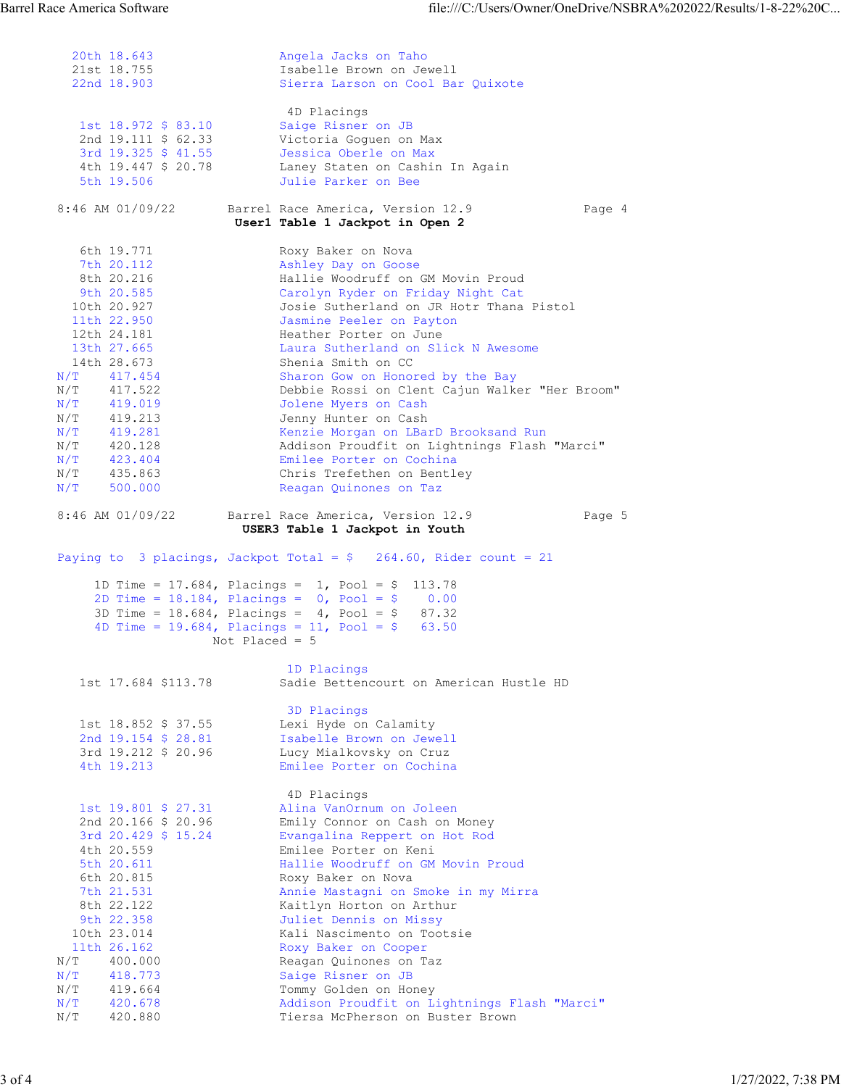20th 18.643 Angela Jacks on Taho 21st 18.755 Isabelle Brown on Jewell Sierra Larson on Cool Bar Quixote 4D Placings 1st 18.972 \$ 83.10 Saige Risner on JB 2nd 19.111 \$ 62.33 Victoria Goguen on Max 3rd 19.325 \$ 41.55 Jessica Oberle on Max 4th 19.447 \$ 20.78 Laney Staten on Cashin In Again 5th 19.506 Julie Parker on Bee 8:46 AM 01/09/22 Barrel Race America, Version 12.9 Page 4  **User1 Table 1 Jackpot in Open 2**  6th 19.771 Roxy Baker on Nova 7th 20.112 Ashley Day on Goose 8th 20.216 Hallie Woodruff on GM Movin Proud 9th 20.585 Carolyn Ryder on Friday Night Cat 10th 20.927 Josie Sutherland on JR Hotr Thana Pistol 11th 22.950 Jasmine Peeler on Payton 12th 24.181 Heather Porter on June 13th 27.665 Laura Sutherland on Slick N Awesome 14th 28.673 Shenia Smith on CC N/T 417.454 Sharon Gow on Honored by the Bay N/T 417.522 Debbie Rossi on Clent Cajun Walker "Her Broom" N/T 419.019 Jolene Myers on Cash N/T 419.213 Jenny Hunter on Cash N/T 419.281 Kenzie Morgan on LBarD Brooksand Run N/T 420.128 Addison Proudfit on Lightnings Flash "Marci" N/T 423.404 Emilee Porter on Cochina N/T 435.863 Chris Trefethen on Bentley N/T 500.000 Reagan Quinones on Taz 8:46 AM 01/09/22 Barrel Race America, Version 12.9 Page 5  **USER3 Table 1 Jackpot in Youth**  Paying to 3 placings, Jackpot Total =  $$ 264.60$ , Rider count = 21 1D Time = 17.684, Placings = 1, Pool = \$ 113.78 2D Time = 18.184, Placings = 0, Pool = \$ 0.00 3D Time = 18.684, Placings = 4, Pool = \$ 87.32 4D Time = 19.684, Placings = 11, Pool = \$ 63.50 Not Placed  $= 5$ 1D Placings<br>1st 17.684 \$113.78 Sadie Betten Sadie Bettencourt on American Hustle HD 3D Placings 1st 18.852 \$ 37.55 Lexi Hyde on Calamity 2nd 19.154 \$ 28.81 Isabelle Brown on Jewell 3rd 19.212 \$ 20.96 Lucy Mialkovsky on Cruz 4th 19.213 Emilee Porter on Cochina 4D Placings 1st 19.801 \$ 27.31 Alina VanOrnum on Joleen 2nd 20.166 \$ 20.96 Emily Connor on Cash on Money 3rd 20.429 \$ 15.24 Evangalina Reppert on Hot Rod 4th 20.559 Emilee Porter on Keni 5th 20.611 Hallie Woodruff on GM Movin Proud 6th 20.815 Roxy Baker on Nova 7th 21.531 Annie Mastagni on Smoke in my Mirra 8th 22.122 Kaitlyn Horton on Arthur 9th 22.358 Juliet Dennis on Missy 10th 23.014 Kali Nascimento on Tootsie 11th 26.162 Roxy Baker on Cooper N/T 400.000 Reagan Quinones on Taz N/T 418.773 Saige Risner on JB N/T 419.664 Tommy Golden on Honey N/T 420.678 Addison Proudfit on Lightnings Flash "Marci" N/T 420.880 Tiersa McPherson on Buster Brown